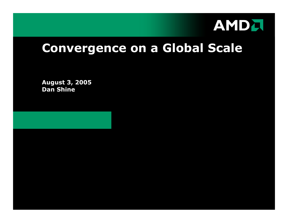

# **Convergence on a Global Scale**

**Augus t 3, 2005 Dan Shine**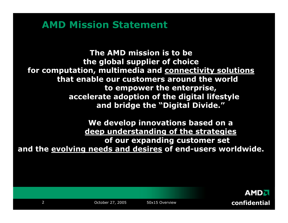#### **AMD Mission Statement**

**The AMD mission is to be the global supplier of choice for computation, multimedia and connectivity solutions that enable our customers around the world to empower the enterprise, accelerate adoption of the digital lifestyle and bridge the "Digital Divide."**

**We develop innovations based on a deep understanding of the strategies of our expanding customer set and the evolving needs and desires of end-users worldwide.**

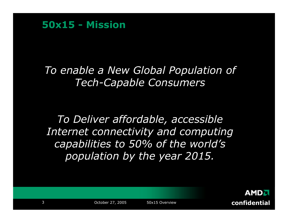**50x15 -Mission** 

## *To enable a New Global Population of Tech-Capable Consumers*

*To Deliver affordable, accessible Internet connectivity and computing capabilities to 50% of the world's population by the year 2015.*

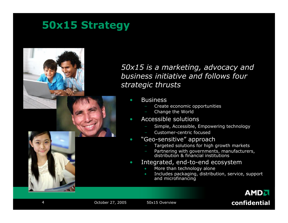# **50x15 Strategy**



#### *50x15 is a marketing, advocacy and business initiative and follows four strategic thrusts*

•**Business** 

•

- Create economic opportunities
- Change the World
- • Accessible solutions
	- Simple, Accessible, Empowering technology
	- Customer-centric focused
	- "Geo-sensitive" approach
		- Targeted solutions for high growth markets
		- Partnering with governments, manufacturers, distributio n & fin ancial institutions
- • Integrated, end-to-end ecosystem
	- •More than technology alone
	- • Includes packaging, distribution, service, support and microfinancing

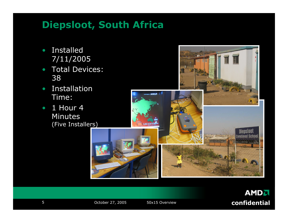# **Diepsloot, South Africa**

- • Installed 7/11/2005
- Total Devices: 38
- $\bigcirc$  Installation Time:
- $1$  Hour 4 Minutes (Five Installers)